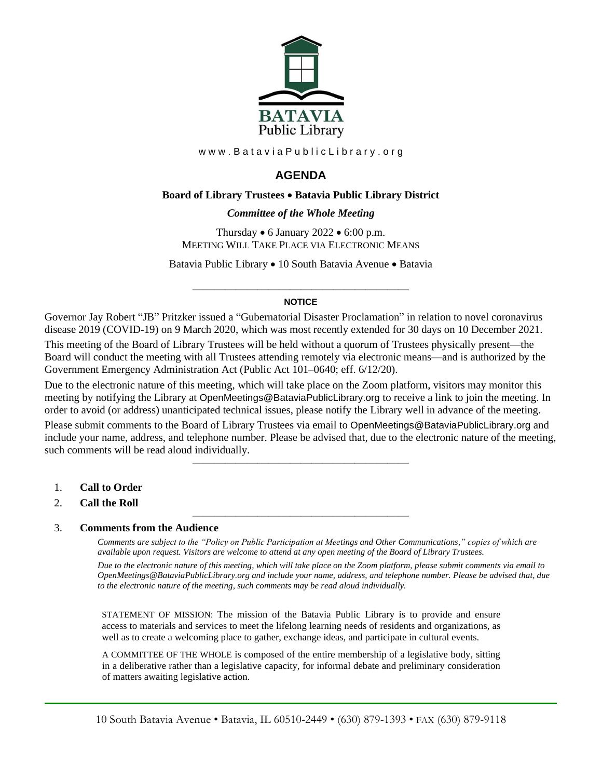

www.BataviaPublicLibrary.org

# **AGENDA**

## **Board of Library Trustees** • **Batavia Public Library District**

## *0BCommittee of the Whole Meeting*

Thursday  $\bullet$  6 January 2022  $\bullet$  6:00 p.m. MEETING WILL TAKE PLACE VIA ELECTRONIC MEANS

Batavia Public Library • 10 South Batavia Avenue • Batavia

#### ———————————————————— **NOTICE**

Governor Jay Robert "JB" Pritzker issued a "Gubernatorial Disaster Proclamation" in relation to novel coronavirus disease 2019 (COVID-19) on 9 March 2020, which was most recently extended for 30 days on 10 December 2021.

This meeting of the Board of Library Trustees will be held without a quorum of Trustees physically present—the Board will conduct the meeting with all Trustees attending remotely via electronic means—and is authorized by the Government Emergency Administration Act (Public Act 101–0640; eff. 6/12/20).

Due to the electronic nature of this meeting, which will take place on the Zoom platform, visitors may monitor this meeting by notifying the Library at OpenMeetings@BataviaPublicLibrary.org to receive a link to join the meeting. In order to avoid (or address) unanticipated technical issues, please notify the Library well in advance of the meeting.

Please submit comments to the Board of Library Trustees via email to OpenMeetings@BataviaPublicLibrary.org and include your name, address, and telephone number. Please be advised that, due to the electronic nature of the meeting, such comments will be read aloud individually.

————————————————————

————————————————————

- 1. **Call to Order**
- 2. **Call the Roll**

#### 3. **Comments from the Audience**

*Comments are subject to the "Policy on Public Participation at Meetings and Other Communications," copies of which are available upon request. Visitors are welcome to attend at any open meeting of the Board of Library Trustees. Due to the electronic nature of this meeting, which will take place on the Zoom platform, please submit comments via email to OpenMeetings@BataviaPublicLibrary.org and include your name, address, and telephone number. Please be advised that, due to the electronic nature of the meeting, such comments may be read aloud individually.*

STATEMENT OF MISSION: The mission of the Batavia Public Library is to provide and ensure access to materials and services to meet the lifelong learning needs of residents and organizations, as well as to create a welcoming place to gather, exchange ideas, and participate in cultural events.

A COMMITTEE OF THE WHOLE is composed of the entire membership of a legislative body, sitting in a deliberative rather than a legislative capacity, for informal debate and preliminary consideration of matters awaiting legislative action.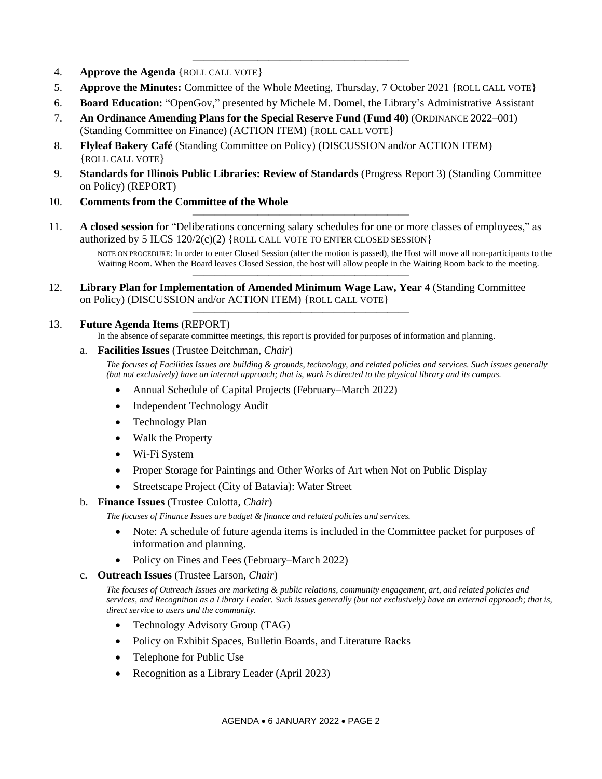- 4. **Approve the Agenda** {ROLL CALL VOTE}
- 5. **Approve the Minutes:** Committee of the Whole Meeting, Thursday, 7 October 2021 {ROLL CALL VOTE}

————————————————————

- 6. **Board Education:** "OpenGov," presented by Michele M. Domel, the Library's Administrative Assistant
- 7. **An Ordinance Amending Plans for the Special Reserve Fund (Fund 40)** (ORDINANCE 2022–001) (Standing Committee on Finance) (ACTION ITEM) {ROLL CALL VOTE}
- 8. **Flyleaf Bakery Café** (Standing Committee on Policy) (DISCUSSION and/or ACTION ITEM) {ROLL CALL VOTE}
- 9. **Standards for Illinois Public Libraries: Review of Standards** (Progress Report 3) (Standing Committee on Policy) (REPORT)
- 10. **Comments from the Committee of the Whole**
- 11. **A closed session** for "Deliberations concerning salary schedules for one or more classes of employees," as authorized by 5 ILCS  $120/2(c)(2)$  {ROLL CALL VOTE TO ENTER CLOSED SESSION}

————————————————————

————————————————————

————————————————————

NOTE ON PROCEDURE: In order to enter Closed Session (after the motion is passed), the Host will move all non-participants to the Waiting Room. When the Board leaves Closed Session, the host will allow people in the Waiting Room back to the meeting.

12. **Library Plan for Implementation of Amended Minimum Wage Law, Year 4** (Standing Committee on Policy) (DISCUSSION and/or ACTION ITEM) {ROLL CALL VOTE}

## 13. **Future Agenda Items** (REPORT)

In the absence of separate committee meetings, this report is provided for purposes of information and planning.

#### a. **Facilities Issues** (Trustee Deitchman, *Chair*)

*The focuses of Facilities Issues are building & grounds, technology, and related policies and services. Such issues generally (but not exclusively) have an internal approach; that is, work is directed to the physical library and its campus.*

- Annual Schedule of Capital Projects (February–March 2022)
- Independent Technology Audit
- Technology Plan
- Walk the Property
- Wi-Fi System
- Proper Storage for Paintings and Other Works of Art when Not on Public Display
- Streetscape Project (City of Batavia): Water Street

## b. **Finance Issues** (Trustee Culotta, *Chair*)

*The focuses of Finance Issues are budget & finance and related policies and services.*

- Note: A schedule of future agenda items is included in the Committee packet for purposes of information and planning.
- Policy on Fines and Fees (February–March 2022)
- c. **Outreach Issues** (Trustee Larson, *Chair*)

*The focuses of Outreach Issues are marketing & public relations, community engagement, art, and related policies and services, and Recognition as a Library Leader. Such issues generally (but not exclusively) have an external approach; that is, direct service to users and the community.*

- Technology Advisory Group (TAG)
- Policy on Exhibit Spaces, Bulletin Boards, and Literature Racks
- Telephone for Public Use
- Recognition as a Library Leader (April 2023)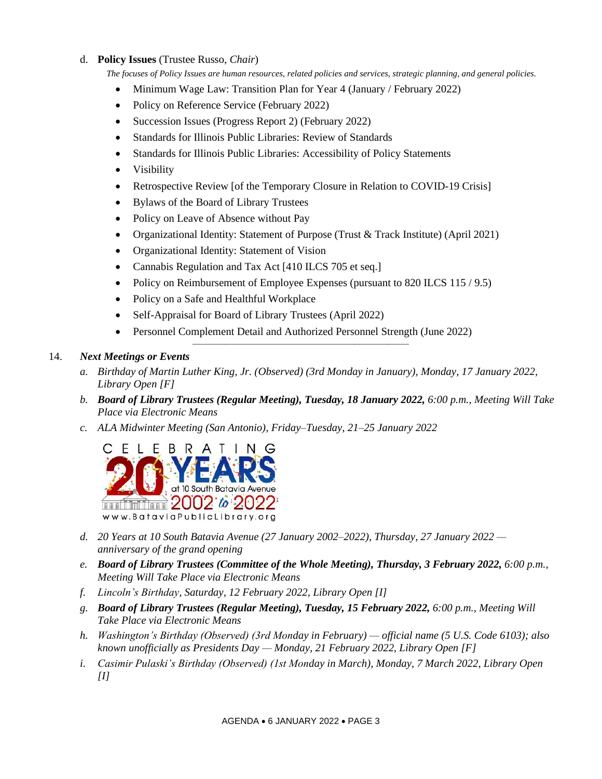# d. **Policy Issues** (Trustee Russo, *Chair*)

*The focuses of Policy Issues are human resources, related policies and services, strategic planning, and general policies.*

- Minimum Wage Law: Transition Plan for Year 4 (January / February 2022)
- Policy on Reference Service (February 2022)
- Succession Issues (Progress Report 2) (February 2022)
- Standards for Illinois Public Libraries: Review of Standards
- Standards for Illinois Public Libraries: Accessibility of Policy Statements
- Visibility
- Retrospective Review [of the Temporary Closure in Relation to COVID-19 Crisis]
- Bylaws of the Board of Library Trustees
- Policy on Leave of Absence without Pay
- Organizational Identity: Statement of Purpose (Trust & Track Institute) (April 2021)
- Organizational Identity: Statement of Vision
- Cannabis Regulation and Tax Act [410 ILCS 705 et seq.]
- Policy on Reimbursement of Employee Expenses (pursuant to 820 ILCS 115 / 9.5)
- Policy on a Safe and Healthful Workplace
- Self-Appraisal for Board of Library Trustees (April 2022)
- Personnel Complement Detail and Authorized Personnel Strength (June 2022)

————————————————————

## 14. *Next Meetings or Events*

- *a. Birthday of Martin Luther King, Jr. (Observed) (3rd Monday in January), Monday, 17 January 2022, Library Open [F]*
- *b. Board of Library Trustees (Regular Meeting), Tuesday, 18 January 2022, 6:00 p.m., Meeting Will Take Place via Electronic Means*
- *c. ALA Midwinter Meeting (San Antonio), Friday–Tuesday, 21–25 January 2022*



- *d. 20 Years at 10 South Batavia Avenue (27 January 2002–2022), Thursday, 27 January 2022 anniversary of the grand opening*
- *e. Board of Library Trustees (Committee of the Whole Meeting), Thursday, 3 February 2022, 6:00 p.m., Meeting Will Take Place via Electronic Means*
- *f. Lincoln's Birthday, Saturday, 12 February 2022, Library Open [I]*
- *g. Board of Library Trustees (Regular Meeting), Tuesday, 15 February 2022, 6:00 p.m., Meeting Will Take Place via Electronic Means*
- *h. Washington's Birthday (Observed) (3rd Monday in February) — official name (5 U.S. Code 6103); also known unofficially as Presidents Day — Monday, 21 February 2022, Library Open [F]*
- *i. Casimir Pulaski's Birthday (Observed) (1st Monday in March), Monday, 7 March 2022, Library Open [I]*